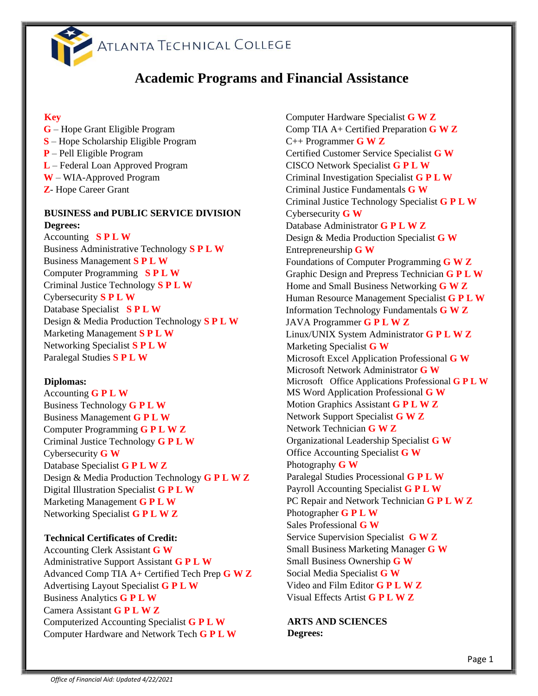

# **Academic Programs and Financial Assistance**

#### **Key**

**G** – Hope Grant Eligible Program **S** – Hope Scholarship Eligible Program **P** – Pell Eligible Program **L** – Federal Loan Approved Program **W** – WIA-Approved Program **Z**- Hope Career Grant

### **BUSINESS and PUBLIC SERVICE DIVISION Degrees:**

Accounting **S P L W** Business Administrative Technology **S P L W**  Business Management **S P L W** Computer Programming **S P L W** Criminal Justice Technology **S P L W** Cybersecurity **S P L W**  Database Specialist **S P L W**  Design & Media Production Technology **S P L W**  Marketing Management **S P L W** Networking Specialist **S P L W**  Paralegal Studies **S P L W**

### **Diplomas:**

Accounting **G P L W**  Business Technology **G P L W** Business Management **G P L W** Computer Programming **G P L W Z** Criminal Justice Technology **G P L W** Cybersecurity **G W** Database Specialist **G P L W Z** Design & Media Production Technology **G P L W Z** Digital Illustration Specialist **G P L W** Marketing Management **G P L W** Networking Specialist **G P L W Z**

#### **Technical Certificates of Credit:**

Accounting Clerk Assistant **G W** Administrative Support Assistant **G P L W** Advanced Comp TIA A+ Certified Tech Prep **G W Z** Advertising Layout Specialist **G P L W** Business Analytics **G P L W**  Camera Assistant **G P L W Z** Computerized Accounting Specialist **G P L W** Computer Hardware and Network Tech **G P L W**

 Computer Hardware Specialist **G W Z** Comp TIA A+ Certified Preparation **G W Z** C++ Programmer **G W Z** Certified Customer Service Specialist **G W** CISCO Network Specialist **G P L W**  Criminal Investigation Specialist **G P L W** Criminal Justice Fundamentals **G W** Criminal Justice Technology Specialist **G P L W**  Cybersecurity **G W** Database Administrator **G P L W Z** Design & Media Production Specialist **G W** Entrepreneurship **G W** Foundations of Computer Programming **G W Z** Graphic Design and Prepress Technician **G P L W**  Home and Small Business Networking **G W Z** Human Resource Management Specialist **G P L W** Information Technology Fundamentals **G W Z** JAVA Programmer **G P L W Z** Linux/UNIX System Administrator **G P L W Z** Marketing Specialist **G W** Microsoft Excel Application Professional **G W** Microsoft Network Administrator **G W** Microsoft Office Applications Professional **G P L W** MS Word Application Professional **G W**  Motion Graphics Assistant **G P L W Z**  Network Support Specialist **G W Z** Network Technician **G W Z** Organizational Leadership Specialist **G W** Office Accounting Specialist **G W**  Photography **G W** Paralegal Studies Processional **G P L W** Payroll Accounting Specialist **G P L W**  PC Repair and Network Technician **G P L W Z** Photographer **G P L W** Sales Professional **G W** Service Supervision Specialist **G W Z** Small Business Marketing Manager **G W** Small Business Ownership **G W** Social Media Specialist **G W** Video and Film Editor **G P L W Z** Visual Effects Artist **G P L W Z**

**ARTS AND SCIENCES Degrees:**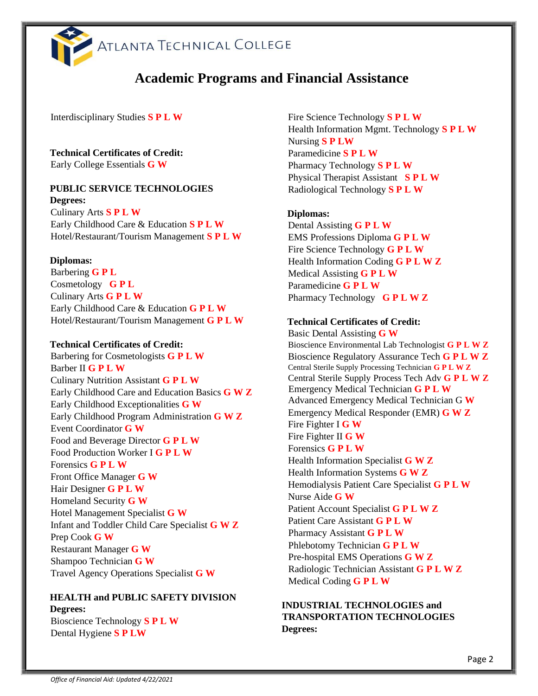

# **Academic Programs and Financial Assistance**

Interdisciplinary Studies **S P L W**

**Technical Certificates of Credit:**  Early College Essentials **G W**

# **PUBLIC SERVICE TECHNOLOGIES**

**Degrees:**  Culinary Arts **S P L W** Early Childhood Care & Education **S P L W** Hotel/Restaurant/Tourism Management **S P L W**

#### **Diplomas:**

Barbering **G P L**  Cosmetology **G P L**  Culinary Arts **G P L W**  Early Childhood Care & Education **G P L W** Hotel/Restaurant/Tourism Management **G P L W**

#### **Technical Certificates of Credit:**

Barbering for Cosmetologists **G P L W** Barber II **G P L W** Culinary Nutrition Assistant **G P L W** Early Childhood Care and Education Basics **G W Z** Early Childhood Exceptionalities **G W** Early Childhood Program Administration **G W Z** Event Coordinator **G W** Food and Beverage Director **G P L W**  Food Production Worker I **G P L W** Forensics **G P L W** Front Office Manager **G W**  Hair Designer **G P L W** Homeland Security **G W** Hotel Management Specialist **G W** Infant and Toddler Child Care Specialist **G W Z** Prep Cook **G W** Restaurant Manager **G W** Shampoo Technician **G W** Travel Agency Operations Specialist **G W** 

### **HEALTH and PUBLIC SAFETY DIVISION Degrees:**

Bioscience Technology **S P L W** Dental Hygiene **S P LW**

Fire Science Technology **S P L W** Health Information Mgmt. Technology **S P L W** Nursing **S P LW**  Paramedicine **S P L W** Pharmacy Technology **S P L W** Physical Therapist Assistant **S P L W** Radiological Technology **S P L W**

#### **Diplomas:**

Dental Assisting **G P L W**  EMS Professions Diploma **G P L W** Fire Science Technology **G P L W** Health Information Coding **G P L W Z** Medical Assisting **G P L W** Paramedicine **G P L W** Pharmacy Technology **G P L W Z**

#### **Technical Certificates of Credit:**

Basic Dental Assisting **G W** Bioscience Environmental Lab Technologist **G P L W Z** Bioscience Regulatory Assurance Tech **G P L W Z** Central Sterile Supply Processing Technician **G P L W Z** Central Sterile Supply Process Tech Adv **G P L W Z**  Emergency Medical Technician **G P L W** Advanced Emergency Medical Technician G **W** Emergency Medical Responder (EMR) **G W Z** Fire Fighter I **G W** Fire Fighter II **G W** Forensics **G P L W**  Health Information Specialist **G W Z** Health Information Systems **G W Z** Hemodialysis Patient Care Specialist **G P L W** Nurse Aide **G W** Patient Account Specialist **G P L W Z** Patient Care Assistant **G P L W**  Pharmacy Assistant **G P L W** Phlebotomy Technician **G P L W**  Pre-hospital EMS Operations **G W Z** Radiologic Technician Assistant **G P L W Z**  Medical Coding **G P L W** 

#### **INDUSTRIAL TECHNOLOGIES and TRANSPORTATION TECHNOLOGIES Degrees:**